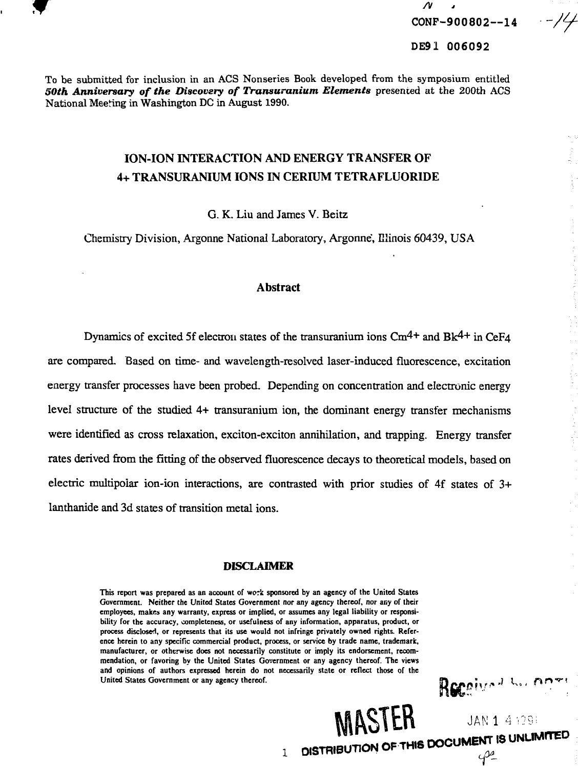

**/v CONF-900802—14**

. - 14

#### **DE91 006092**

To be submitted for inclusion in an ACS Nonseries Book developed from the symposium entitled *SOth Anniversary of the Discovery of Transuranium Elements* presented at the 200th ACS National Meeting in Washington DC in August 1990.

# **ION-ION INTERACTION AND ENERGY TRANSFER OF 4+ TRANSURANIUM IONS IN CERIUM TETRAFLUORIDE**

G. K. Liu and James V. Beitz

Chemistry Division, Argonne National Laboratory, Argonne, Illinois 60439, USA

#### **Abstract**

Dynamics of excited 5f electron states of the transuranium ions  $\text{Cm}^{4+}$  and Bk<sup>4+</sup> in CeF<sub>4</sub> are compared. Based on time- and wavelength-resolved laser-induced fluorescence, excitation energy transfer processes have been probed. Depending on concentration and electronic energy level structure of the studied 4+ transuranium ion, the dominant energy transfer mechanisms were identified as cross relaxation, exciton-exciton annihilation, and trapping. Energy transfer rates derived from the fitting of the observed fluorescence decays to theoretical models, based on electric multipoiar ion-ion interactions, are contrasted with prior studies of 4f states of 3+ lanthanide and 3d states of transition metal ions.

#### **DISCLAIMER**

**This report was prepared as an account of work sponsored by an agency of the United States Government. Neither the United States Government nor any agency thereof, nor any of their employees, makes any warranty, express or implied, or assumes any legal liability or responsibility for the accuracy, completeness, or usefulness of any information, apparatus, product, or process disclosed, or represents that its use would not infringe privately owned rights. Reference herein to any specific commercial product, process, or service by trade name, trademark, manufacturer, or otherwise does not necessarily constitute or imply its endorsement, recommendation, or favoring by the United States Government or any agency thereof. The views and opinions of authors expressed herein do not necessarily state or reflect those of the United States Government or any agency thereof.**

MASTER

Received to open

JAN 1 4 1291 DISTRIBUTION OF THIS DOCUMENT IS UNLIMITED

 $4^2$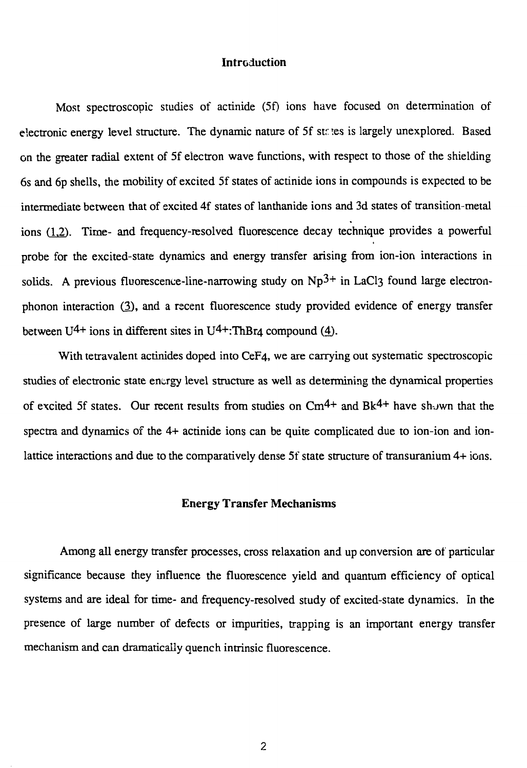# **Introduction**

Most spectroscopic studies of actinide (5f) ions have focused on determination of electronic energy level structure. The dynamic nature of 5f st. tes is largely unexplored. Based on the greater radial extent of 5f electron wave functions, with respect to those of the shielding 6s and 6p shells, the mobility of excited 5f states of actinide ions in compounds is expected to be intermediate between that of excited 4f states of lanthanide ions and 3d states of transition-metal ions *(12).* Time- and frequency-resolved fluorescence decay technique provides a powerful probe for the excited-state dynamics and energy transfer arising from ion-ion interactions in solids. A previous fluorescence-line-narrowing study on  $Np^{3+}$  in LaCl3 found large electronphonon interaction (3), and a recent fluorescence study provided evidence of energy transfer between  $U^{4+}$  ions in different sites in  $U^{4+}$ :ThBr<sub>4</sub> compound (4).

With tetravalent actinides doped into CeF4, we are carrying out systematic spectroscopic studies of electronic state energy level structure as well as determining the dynamical properties of excited 5f states. Our recent results from studies on  $\text{Cm}^{4+}$  and Bk<sup>4+</sup> have shown that the spectra and dynamics of the 4+ actinide ions can be quite complicated due to ion-ion and ionlattice interactions and due to the comparatively dense 5f state structure of transuranium 4+ ions.

### **Energy Transfer Mechanisms**

Among all energy transfer processes, cross relaxation and up conversion are of particular significance because they influence the fluorescence yield and quantum efficiency of optical systems and are ideal for time- and frequency-resolved study of excited-state dynamics. In the presence of large number of defects or impurities, trapping is an important energy transfer mechanism and can dramatically quench intrinsic fluorescence.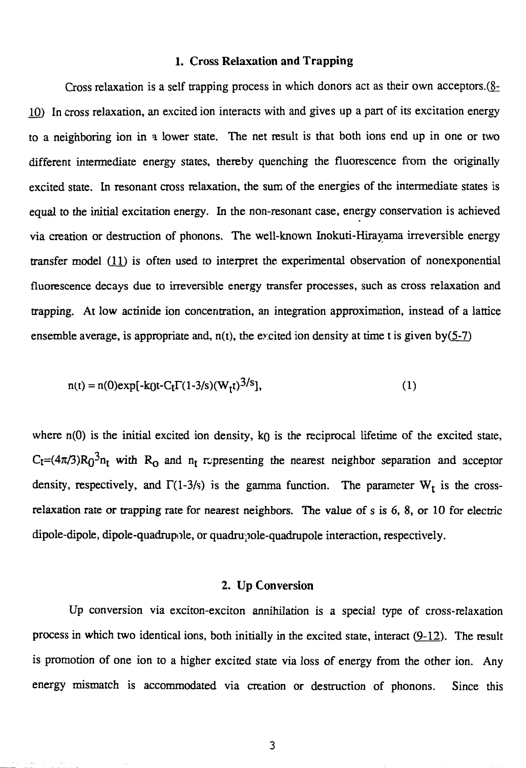# **1. Cross Relaxation and Trapping**

Cross relaxation is a self trapping process in which donors act as their own acceptors. $(g_2)$ 10) In cross relaxation, an excited ion interacts with and gives up a part of its excitation energy to a neighboring ion in a lower state. The net result is that both ions end up in one or two different intermediate energy states, thereby quenching the fluorescence from the originally excited state. In resonant cross relaxation, the sum of the energies of the intermediate states is equal to the initial excitation energy. In the non-resonant case, energy conservation is achieved via creation or destruction of phonons. The well-known Inokuti-Hirayama irreversible energy transfer model (11) is often used to interpret the experimental observation of nonexponential fluorescence decays due to irreversible energy transfer processes, such as cross relaxation and trapping. At low actinide ion concentration, an integration approximation, instead of a lattice ensemble average, is appropriate and,  $n(t)$ , the excited ion density at time t is given by(5-7)

$$
n(t) = n(0) \exp[-k(t) - C_t \Gamma(1-3/s)(W_t t)^{3/s}], \tag{1}
$$

where  $n(0)$  is the initial excited ion density,  $k_0$  is the reciprocal lifetime of the excited state,  $C_t=(4\pi/3)R_0^3n_t$  with  $R_0$  and  $n_t$  representing the nearest neighbor separation and acceptor density, respectively, and  $\Gamma(1-3/s)$  is the gamma function. The parameter W<sub>t</sub> is the crossrelaxation rate or trapping rate for nearest neighbors. The value of s is 6, 8, or 10 for electric dipole-dipole, dipole-quadrupole, or quadrupole-quadrupole interaction, respectively.

#### 2. Up Conversion

Up conversion via exciton-exciton annihilation is a special type of cross-relaxation process in which two identical ions, both initially in the excited state, interact  $(9-12)$ . The result is promotion of one ion to a higher excited state via loss of energy from the other ion. Any energy mismatch is accommodated via creation or destruction of phonons. Since this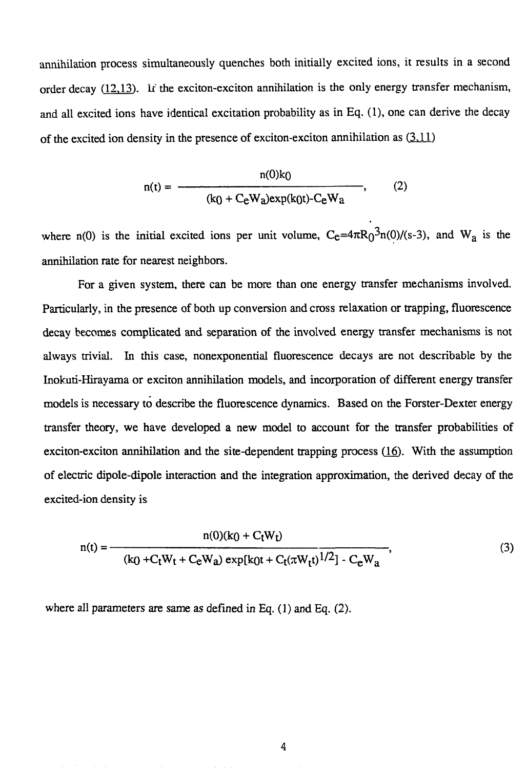annihilation process simultaneously quenches both initially excited ions, it results in a second order decay  $(12,13)$ . It the exciton-exciton annihilation is the only energy transfer mechanism, and all excited ions have identical excitation probability as in Eq. (1), one can derive the decay of the excited ion density in the presence of exciton-exciton annihilation as  $(3.11)$ 

$$
n(t) = \frac{n(0)k_0}{(k_0 + C_e W_a)exp(k_0t) - C_e W_a},
$$
 (2)

where n(0) is the initial excited ions per unit volume,  $C_e=4\pi R_0^3$ n(0)/(s-3), and W<sub>a</sub> is the annihilation rate for nearest neighbors.

For a given system, there can be more than one energy transfer mechanisms involved. Particularly, in the presence of both up conversion and cross relaxation or trapping, fluorescence decay becomes complicated and separation of the involved energy transfer mechanisms is not always trivial. In this case, nonexponential fluorescence decays are not describable by the Inokuti-Hirayama or exciton annihilation models, and incorporation of different energy transfer models is necessary to describe the fluorescence dynamics. Based on the Forster-Dexter energy transfer theory, we have developed a new model to account for the transfer probabilities of exciton-exciton annihilation and the site-dependent trapping process  $(16)$ . With the assumption of electric dipole-dipole interaction and the integration approximation, the derived decay of the excited-ion density is

$$
n(t) = \frac{n(0)(k_0 + C_t W_t)}{(k_0 + C_t W_t + C_e W_a) \exp[k_0 t + C_t (\pi W_t t)^{1/2}] - C_e W_a},
$$
\n(3)

where all parameters are same as defined in Eq. (1) and Eq. (2).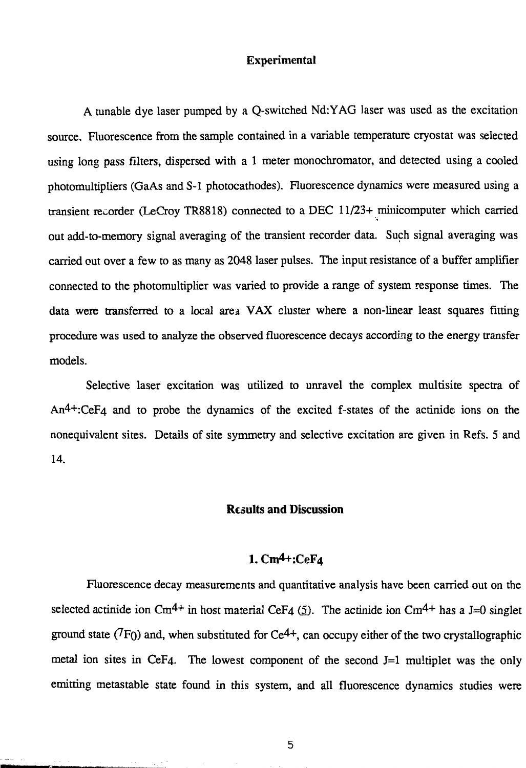#### Experimental

A tunable dye laser pumped by a Q-switched Nd:YAG laser was used as the excitation source. Fluorescence from the sample contained in a variable temperature cryostat was selected using long pass filters, dispersed with a 1 meter monochromator, and detected using a cooled photomultipliers (GaAs and S-l photocathodes). Fluorescence dynamics were measured using a transient recorder (LeCroy TR8818) connected to a DEC 11/23+ minicomputer which carried out add-to-memory signal averaging of the transient recorder data. Such signal averaging was carried out over a few to as many as 2048 laser pulses. The input resistance of a buffer amplifier connected to the photomultiplier was varied to provide a range of system response times. The data were transferred to a local area VAX cluster where a non-linear least squares fitting procedure was used to analyze the observed fluorescence decays according to the energy transfer models.

Selective laser excitation was utilized to unravel the complex multisite spectra of An4+:CeF4 and to probe the dynamics of the excited f-states of the actinide ions on the nonequivalent sites. Details of site symmetry and selective excitation are given in Refs. 5 and 14.

# Results **and** Discussion

# 1. Cm4+:CeF4

Fluorescence decay measurements and quantitative analysis have been carried out on the selected actinide ion Cm<sup>4+</sup> in host material CeF<sub>4</sub> (5). The actinide ion Cm<sup>4+</sup> has a J=0 singlet ground state  $(7F_0)$  and, when substituted for Ce<sup>4+</sup>, can occupy either of the two crystallographic metal ion sites in CeF4. The lowest component of the second  $J=1$  multiplet was the only emitting metastable state found in this system, and all fluorescence dynamics studies were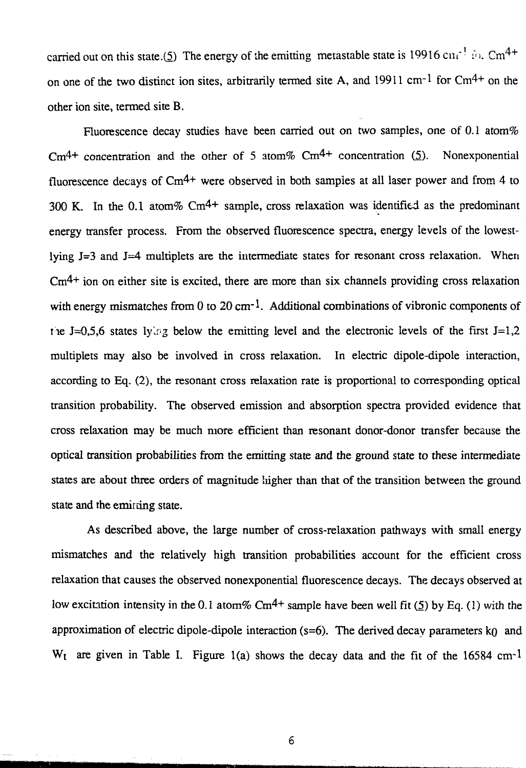carried out on this state.(5) The energy of the emitting metastable state is 19916 cm<sup>-1</sup> in. Cm<sup>4+</sup> on one of the two distinct ion sites, arbitrarily termed site A, and 19911 cm<sup>-1</sup> for  $Cm^{4+}$  on the other ion site, termed site B.

Fluorescence decay studies have been carried out on two samples, one of 0.1 atom% Cm<sup>4+</sup> concentration and the other of 5 atom% Cm<sup>4+</sup> concentration (5). Nonexponential fluorescence decays of Cm4+ were observed in both samples at all laser power and from 4 to 300 K. In the 0.1 atom%  $\text{Cm}^{4+}$  sample, cross relaxation was identified as the predominant energy transfer process. From the observed fluorescence spectra, energy levels of the lowestlying J=3 and J=4 multiplets are the intermediate states for resonant cross relaxation. When  $\text{Cm}^{4+}$  ion on either site is excited, there are more than six channels providing cross relaxation with energy mismatches from 0 to 20 cm<sup>-1</sup>. Additional combinations of vibronic components of the J=0,5,6 states lyletg below the emitting level and the electronic levels of the first J=1,2 multiplets may also be involved in cross relaxation. In electric dipole-dipole interaction, according to Eq. (2), the resonant cross relaxation rate is proportional to corresponding optical transition probability. The observed emission and absorption spectra provided evidence that cross relaxation may be much more efficient than resonant donor-donor transfer because the optical transition probabilities from the emitting state and the ground state to these intermediate states are about three orders of magnitude liigher than that of the transition between the ground state and the emirting state.

As described above, the large number of cross-relaxation pathways with small energy mismatches and the relatively high transition probabilities account for the efficient cross relaxation that causes the observed nonexponential fluorescence decays. The decays observed at low excitation intensity in the 0.1 atom% Cm<sup>4+</sup> sample have been well fit (5) by Eq. (1) with the approximation of electric dipole-dipole interaction ( $s=6$ ). The derived decay parameters k $\rho$  and  $W_t$  are given in Table I. Figure 1(a) shows the decay data and the fit of the 16584 cm-1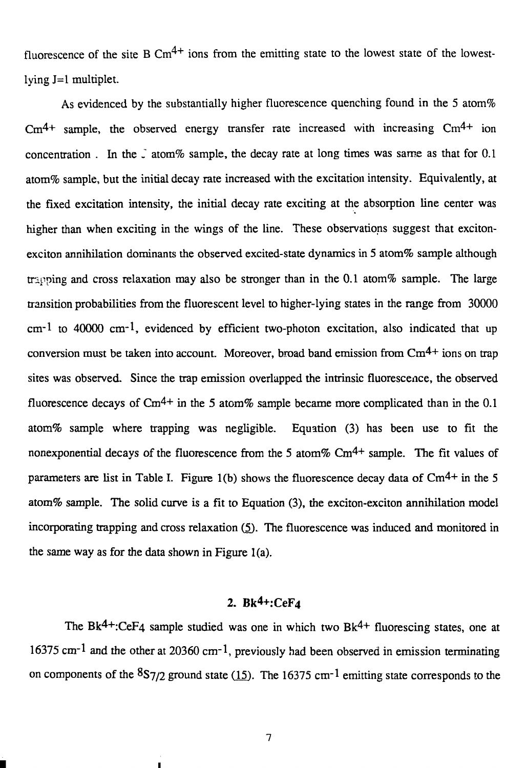fluorescence of the site B  $\text{Cm}^{4+}$  ions from the emitting state to the lowest state of the lowestlying  $J=1$  multiplet.

As evidenced by the substantially higher fluorescence quenching found in the 5 atom%  $\text{Cm}^{4+}$  sample, the observed energy transfer rate increased with increasing  $\text{Cm}^{4+}$  ion concentration. In the  $\tilde{\ }$  atom% sample, the decay rate at long times was same as that for 0.1 atom% sample, but the initial decay rate increased with the excitation intensity. Equivalently, at the fixed excitation intensity, the initial decay rate exciting at the absorption line center was higher than when exciting in the wings of the line. These observations suggest that excitonexciton annihilation dominants the observed excited-state dynamics in 5 atom% sample although trapping and cross relaxation may also be stronger than in the 0.1 atom% sample. The large transition probabilities from the fluorescent level to higher-lying states in the range from 30000 cm-1 to 40000 cm-1, evidenced by efficient two-photon excitation, also indicated that up conversion must be taken into account. Moreover, broad band emission from  $\text{Cm}^{4+}$  ions on trap sites was observed. Since the trap emission overlapped the intrinsic fluorescence, the observed fluorescence decays of  $\text{Cm}^{4+}$  in the 5 atom% sample became more complicated than in the 0.1 atom% sample where trapping was negligible. Equation (3) has been use to fit the nonexponential decays of the fluorescence from the 5 atom%  $\text{Cm}^{4+}$  sample. The fit values of parameters are list in Table I. Figure 1(b) shows the fluorescence decay data of  $\text{Cm}^{4+}$  in the 5 atom% sample. The solid curve is a fit to Equation (3), the exciton-exciton annihilation model incorporating trapping and cross relaxation (5). The fluorescence was induced and monitored in the same way as for the data shown in Figure l(a).

# 2. Bk<sup>4+</sup>:CeF<sub>4</sub>

The Bk<sup>4+</sup>:CeF<sub>4</sub> sample studied was one in which two Bk<sup>4+</sup> fluorescing states, one at 16375 cm<sup>-1</sup> and the other at 20360 cm<sup>-1</sup>, previously had been observed in emission terminating on components of the  $8\frac{S7}{2}$  ground state  $(15)$ . The 16375 cm<sup>-1</sup> emitting state corresponds to the

 $\overline{7}$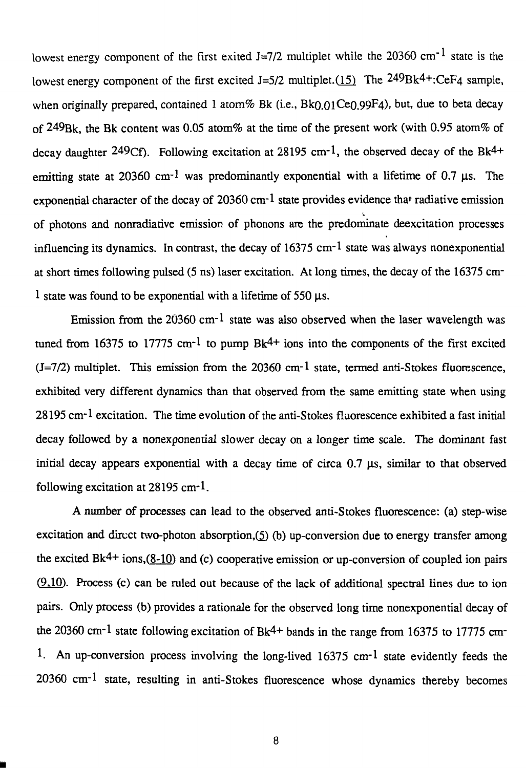lowest energy component of the first exited J=7/2 multiplet while the 20360 cm<sup>-1</sup> state is the lowest energy component of the first excited  $J=5/2$  multiplet.(15) The  $249Bk<sup>4</sup>$ :CeF4 sample, when originally prepared, contained 1 atom % Bk (i.e.,  $Bk(0.01Ce0.99F4)$ , but, due to beta decay of 249Bk, the Bk content was 0.05 atom% at the time of the present work (with 0.95 atom% of decay daughter  $249Cf$ ). Following excitation at  $28195 \text{ cm}^{-1}$ , the observed decay of the Bk<sup>4+</sup> emitting state at 20360 cm<sup>-1</sup> was predominantly exponential with a lifetime of 0.7  $\mu$ s. The exponential character of the decay of  $20360 \text{ cm}$ <sup>-1</sup> state provides evidence that radiative emission of photons and nonradiative emission of phonons are the predominate deexcitation processes influencing its dynamics. In contrast, the decay of  $16375 \text{ cm}$ <sup>-1</sup> state was always nonexponential at short times following pulsed (5 ns) laser excitation. At long times, the decay of the 16375 cm-1 state was found to be exponential with a lifetime of 550  $\mu$ s.

Emission from the  $20360$  cm<sup>-1</sup> state was also observed when the laser wavelength was tuned from 16375 to 17775 cm<sup>-1</sup> to pump  $Bk<sup>4+</sup>$  ions into the components of the first excited  $(J=7/2)$  multiplet. This emission from the 20360 cm<sup>-1</sup> state, termed anti-Stokes fluorescence, exhibited very different dynamics than that observed from the same emitting state when using 28195 cm-1 excitation. The time evolution of the anti-Stokes fluorescence exhibited a fast initial decay followed by a nonexponential slower decay on a longer time scale. The dominant fast initial decay appears exponential with a decay time of circa  $0.7 \mu s$ , similar to that observed following excitation at 28195 cm-1.

A number of processes can lead to the observed anti-Stokes fluorescence: (a) step-wise excitation and direct two-photon absorption, $(5)$  (b) up-conversion due to energy transfer among the excited  $Bk<sup>4+</sup>$  ions,( $8-10$ ) and (c) cooperative emission or up-conversion of coupled ion pairs (9,10). Process (c) can be ruled out because of the lack of additional spectral lines due to ion pairs. Only process (b) provides a rationale for the observed long time nonexponential decay of the 20360 cm<sup>-1</sup> state following excitation of Bk<sup>4+</sup> bands in the range from 16375 to 17775 cm<sup>-1</sup> 1. An up-conversion process involving the long-lived 16375 cm-1 state evidently feeds the 20360 cm-1 state, resulting in anti-Stokes fluorescence whose dynamics thereby becomes

8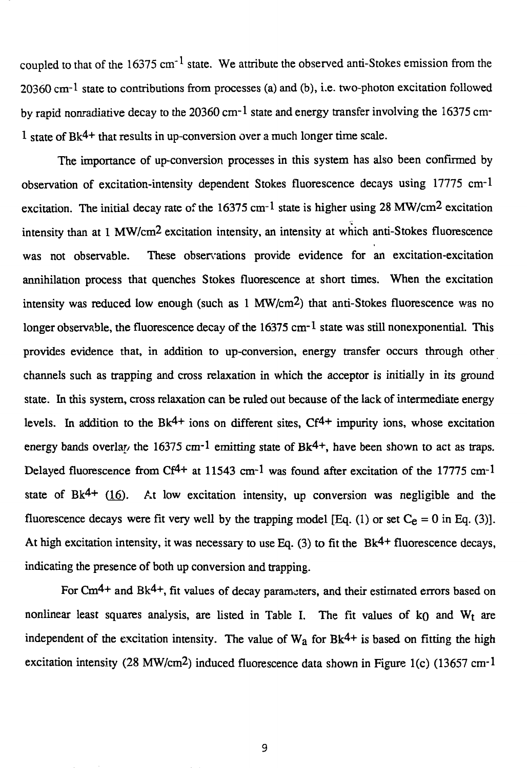coupled to that of the 16375 cm<sup>-1</sup> state. We attribute the observed anti-Stokes emission from the 20360 cm-1 state to contributions from processes (a) and (b), i.e. two-photon excitation followed by rapid nonradiative decay to the 20360 cm<sup>-1</sup> state and energy transfer involving the 16375 cm-1 state of Bk4+ that results in up-conversion over a much longer time scale.

The importance of up-conversion processes in this system has also been confirmed by observation of excitation-intensity dependent Stokes fluorescence decays using 17775 cm-1 excitation. The initial decay rate of the  $16375 \text{ cm}$ -1 state is higher using 28 MW/cm<sup>2</sup> excitation intensity than at 1 MW/cm2 excitation intensity, an intensity at which anti-Stokes fluorescence was not observable. These observations provide evidence for an excitation-excitation annihilation process that quenches Stokes fluorescence at short times. When the excitation intensity was reduced low enough (such as 1 MW/cm2) that anti-Stokes fluorescence was no longer observable, the fluorescence decay of the  $16375 \text{ cm}^{-1}$  state was still nonexponential. This provides evidence that, in addition to up-conversion, energy transfer occurs through other channels such as trapping and cross relaxation in which the acceptor is initially in its ground state. In this system, cross relaxation can be ruled out because of the lack of intermediate energy levels. In addition to the  $Bk<sup>4+</sup>$  ions on different sites,  $Cf<sup>4+</sup>$  impurity ions, whose excitation energy bands overlar, the 16375 cm<sup>-1</sup> emitting state of Bk<sup>4+</sup>, have been shown to act as traps. Delayed fluorescence from Cf<sup>4+</sup> at 11543 cm<sup>-1</sup> was found after excitation of the 17775 cm<sup>-1</sup> state of Bk<sup>4+</sup> (16). At low excitation intensity, up conversion was negligible and the fluorescence decays were fit very well by the trapping model [Eq. (1) or set  $C_e = 0$  in Eq. (3)]. At high excitation intensity, it was necessary to use Eq. (3) to fit the Bk<sup>4+</sup> fluorescence decays, indicating the presence of both up conversion and trapping.

For Cm<sup>4+</sup> and Bk<sup>4+</sup>, fit values of decay parameters, and their estimated errors based on nonlinear least squares analysis, are listed in Table I. The fit values of  $k_0$  and  $W_t$  are independent of the excitation intensity. The value of  $W_a$  for  $Bk^{4+}$  is based on fitting the high excitation intensity (28 MW/cm2) induced fluorescence data shown in Figure l(c) (13657 cm-1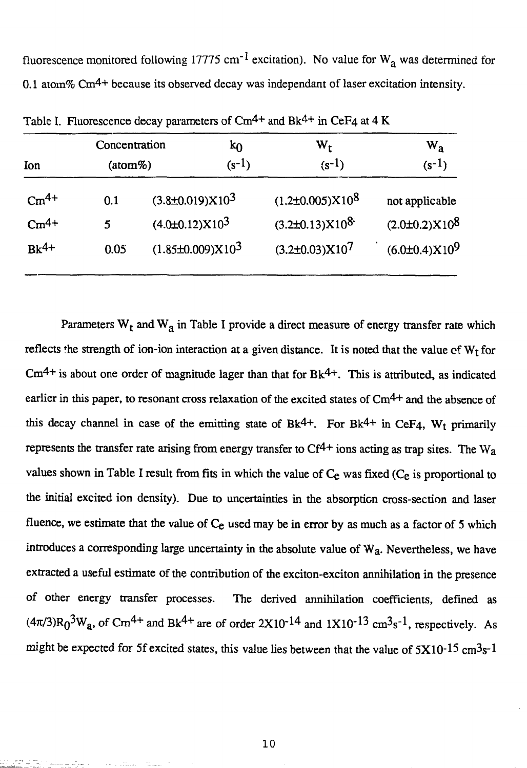fluorescence monitored following 17775 cm<sup>-1</sup> excitation). No value for  $W_a$  was determined for 0.1 atom%  $\text{Cm}^{4+}$  because its observed decay was independant of laser excitation intensity.

| Ion<br>$\mathrm{Cm}^{4+}$<br>$\mathrm{Cm^{4+}}$ | Concentration<br>(atom%) | kθ<br>$(s-1)$                                       | $\mathbf{w}_{\mathbf{t}}$<br>$(s-1)$            | $\bf w_a$<br>$(s-1)$<br>not applicable<br>$(2.0 \pm 0.2) \times 10^8$ |
|-------------------------------------------------|--------------------------|-----------------------------------------------------|-------------------------------------------------|-----------------------------------------------------------------------|
|                                                 | 0.1<br>5                 | $(3.8\pm0.019)X103$<br>$(4.0 \pm 0.12) \times 10^3$ | $(1.2\pm0.005)X10^{8}$<br>$(3.2\pm0.13)X10^{8}$ |                                                                       |
| $Bk^{4+}$                                       | 0.05                     | $(1.85\pm0.009)X103$                                | $(3.2\pm0.03)X10^{7}$                           | $(6.0\pm0.4)X10^9$                                                    |

Table I. Fluorescence decay parameters of Cm<sup>4+</sup> and Bk<sup>4+</sup> in CeF4 at 4 K

Parameters  $W_t$  and  $W_a$  in Table I provide a direct measure of energy transfer rate which reflects the strength of ion-ion interaction at a given distance. It is noted that the value of  $W_t$  for  $\text{Cm}^{4+}$  is about one order of magnitude lager than that for Bk<sup>4+</sup>. This is attributed, as indicated earlier in this paper, to resonant cross relaxation of the excited states of Cm<sup>4+</sup> and the absence of this decay channel in case of the emitting state of Bk<sup>4+</sup>. For Bk<sup>4+</sup> in CeF<sub>4</sub>, W<sub>t</sub> primarily represents the transfer rate arising from energy transfer to  $Cf^{4+}$  ions acting as trap sites. The W<sub>a</sub> values shown in Table I result from fits in which the value of Ce was fixed (Ce is proportional to the initial excited ion density). Due to uncertainties in the absorption cross-section and laser fluence, we estimate that the value of  $C_e$  used may be in error by as much as a factor of 5 which introduces a corresponding large uncertainty in the absolute value of Wa. Nevertheless, we have extracted a useful estimate of the contribution of the exciton-exciton annihilation in the presence of other energy transfer processes. The derived annihilation coefficients, defined as  $(4\pi/3)R_0^3W_a$ , of Cm<sup>4+</sup> and Bk<sup>4+</sup> are of order 2X10<sup>-14</sup> and 1X10<sup>-13</sup> cm<sup>3</sup>s<sup>-1</sup>, respectively. As might be expected for 5f excited states, this value lies between that the value of  $5X10^{-15}$  cm<sup>3</sup>s<sup>-1</sup>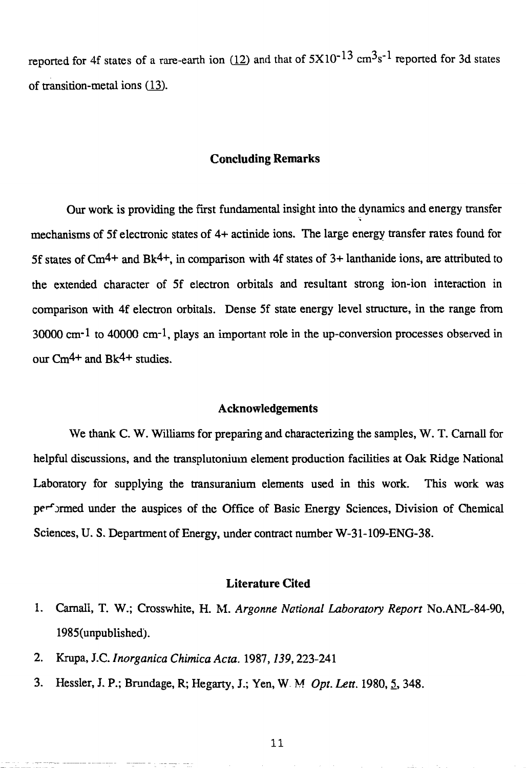reported for 4f states of a rare-earth ion (12) and that of  $5X10^{-13}$  cm<sup>3</sup>s<sup>-1</sup> reported for 3d states of transition-metal ions (13).

# **Concluding Remarks**

Our work is providing the first fundamental insight into the dynamics and energy transfer mechanisms of 5f electronic states of 4+ actinide ions. The large energy transfer rates found for 5f states of  $\text{Cm}^{4+}$  and Bk<sup>4+</sup>, in comparison with 4f states of 3+ lanthanide ions, are attributed to the extended character of 5f electron orbitals and resultant strong ion-ion interaction in comparison with 4f electron orbitals. Dense 5f state energy level structure, in the range from  $30000 \text{ cm}^{-1}$  to  $40000 \text{ cm}^{-1}$ , plays an important role in the up-conversion processes observed in our Cm4+ and Bk4+ studies.

#### **Acknowledgements**

We thank C. W. Williams for preparing and characterizing the samples, W. T. Carnall for helpful discussions, and the transplutonium element production facilities at Oak Ridge National Laboratory for supplying the transuranium elements used in this work. This work was performed under the auspices of the Office of Basic Energy Sciences, Division of Chemical Sciences, U. S. Department of Energy, under contract number W-31- 109-ENG-38.

# **Literature Cited**

- 1. Carnali, T. W.; Crosswhite, H. M. *Argonne Notional Laboratory Report* No.ANL-84-90, 1985(unpublished).
- 2. Krupa, J.C. *Inorganica Chimica Acta.* 1987,*139,*223-241
- 3. Hessler, J. P.; Brundage, R; Hegarty, J.; Yen, W. M. Opt. Lett. 1980, 5, 348.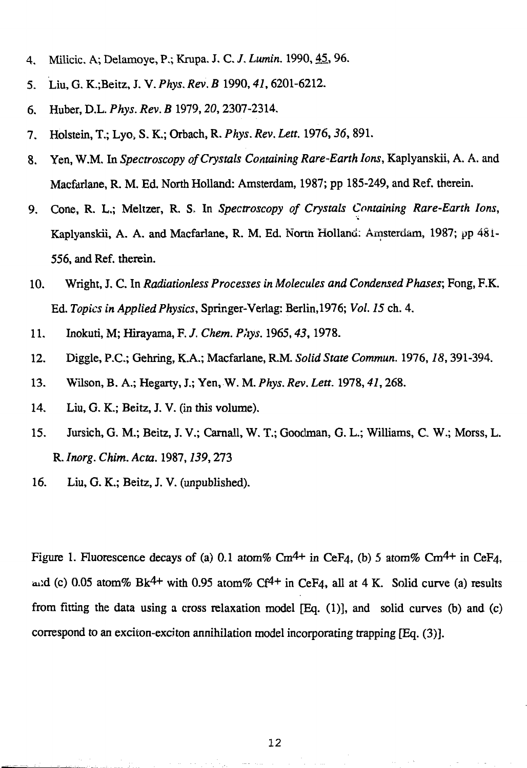- 4. Milicic. A; Delamoye, P.; Krupa. J. C. /. *Lumin.* 1990,45,96.
- 5. Liu, G. K.;Beitz, J. V. *Phys. Rev. B* 1990,*41,*6201-6212.
- 6. Huber, D.L. *Phys. Rev. B* 1979,*20,*2307-2314.
- 7. Holstein, T.; Lyo, S. K.; Orbach, R. *Phys. Rev. Lett.* 1976,*36,* 891.
- 8. Yen, W.M. In *Spectroscopy of Crystals Containing Rare-Earth Ions,* Kaplyanskii, A. A. and Macfariane, R. M. Ed. North Holland: Amsterdam, 1987; pp 185-249, and Ref. therein.
- 9. Cone, R. L.; Meltzer, R. S, In *Spectroscopy of Crystals Containing Rare-Earth Ions,* Kaplyanskii, A. A. and Macfariane, R. M. Ed. Nortn Holland; Amsterdam, 1987; pp 48 i-556, and Ref. therein.
- 10. Wright, J. C. In *Radiationless Processes in Molecules and Condensed Phases;* Fong, F.K. Ed. *Topics in Applied Physics,* Springer-Verlag: Berlin,1976; *Vol. 15* ch. 4.
- 11. Inokuti, M; Hirayama, F. /. *Chem. Phys.* 1965,*43,*1978.
- 12. Diggle, P.C.; Gehring, K.A.; Macfariane, R.M. *Solid State Commun.* 1976,*18,* 391-394.
- 13. Wilson, B. A.; Hegarty, J.; Yen, W. M. *Phys. Rev. Lett.* 1978,*41,*268.
- 14. Liu, G. K.; Beitz, J. V. (in this volume).
- 15. Jursich, G. M.; Beitz, J. V.; Carnall, W. T.; Goodman, G. L.; Williams, C W.; Morss, L. R. *Inorg. Chim. Acta.* 1987,*139,*273
- 16. Liu, G. K.; Beitz, J. V. (unpublished).

Figure 1. Fluorescence decays of (a) 0.1 atom% Cm<sup>4+</sup> in CeF<sub>4</sub>, (b) 5 atom% Cm<sup>4+</sup> in CeF<sub>4</sub>, and (c) 0.05 atom% Bk<sup>4+</sup> with 0.95 atom% Cf<sup>4+</sup> in CeF4, all at 4 K. Solid curve (a) results from fitting the data using a cross relaxation model [Eq. (1)], and solid curves (b) and (c) correspond to an exciton-exciton annihilation model incorporating trapping [Eq. (3)].